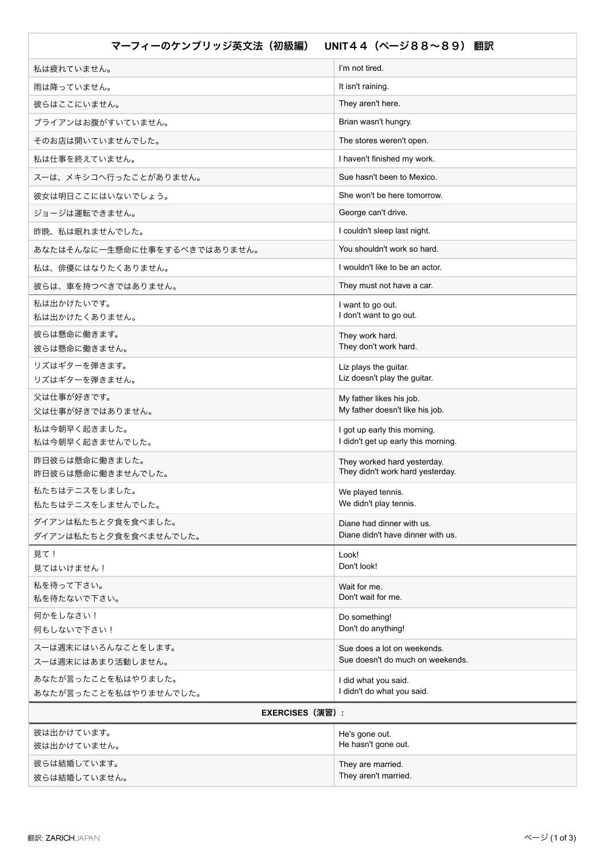| マーフィーのケンブリッジ英文法 (初級編)                       | UNIT44 (ページ88~89) 翻訳                                                |
|---------------------------------------------|---------------------------------------------------------------------|
| 私は疲れていません。                                  | I'm not tired.                                                      |
| 雨は降っていません。                                  | It isn't raining.                                                   |
| 彼らはここにいません。                                 | They aren't here.                                                   |
| ブライアンはお腹がすいていません。                           | Brian wasn't hungry.                                                |
| そのお店は開いていませんでした。                            | The stores weren't open.                                            |
| 私は仕事を終えていません。                               | I haven't finished my work.                                         |
| スーは、メキシコへ行ったことがありません。                       | Sue hasn't been to Mexico.                                          |
| 彼女は明日ここにはいないでしょう。                           | She won't be here tomorrow.                                         |
| ジョージは運転できません。                               | George can't drive.                                                 |
| 昨晩、私は眠れませんでした。                              | I couldn't sleep last night.                                        |
| あなたはそんなに一生懸命に仕事をするべきではありません。                | You shouldn't work so hard.                                         |
| 私は、俳優にはなりたくありません。                           | I wouldn't like to be an actor.                                     |
| 彼らは、車を持つべきではありません。                          | They must not have a car.                                           |
| 私は出かけたいです。<br>私は出かけたくありません。                 | I want to go out.<br>I don't want to go out.                        |
| 彼らは懸命に働きます。                                 | They work hard.                                                     |
| 彼らは懸命に働きません。                                | They don't work hard.                                               |
| リズはギターを弾きます。<br>リズはギターを弾きません。               | Liz plays the guitar.<br>Liz doesn't play the guitar.               |
| 父は仕事が好きです。                                  | My father likes his job.                                            |
| 父は仕事が好きではありません。                             | My father doesn't like his job.                                     |
| 私は今朝早く起きました。<br>私は今朝早く起きませんでした。             | I got up early this morning.<br>I didn't get up early this morning. |
| 昨日彼らは懸命に働きました。                              | They worked hard yesterday.                                         |
| 昨日彼らは懸命に働きませんでした。                           | They didn't work hard yesterday.                                    |
| 私たちはテニスをしました。                               | We played tennis.                                                   |
| 私たちはテニスをしませんでした。                            | We didn't play tennis.                                              |
| ダイアンは私たちと夕食を食べました。<br>ダイアンは私たちと夕食を食べませんでした。 | Diane had dinner with us.<br>Diane didn't have dinner with us.      |
| 見て!                                         | Look!                                                               |
| 見てはいけません!                                   | Don't look!                                                         |
| 私を待って下さい。<br>私を待たないで下さい。                    | Wait for me.<br>Don't wait for me.                                  |
| 何かをしなさい!                                    | Do something!                                                       |
| 何もしないで下さい!                                  | Don't do anything!                                                  |
| スーは週末にはいろんなことをします。<br>スーは週末にはあまり活動しません。     | Sue does a lot on weekends.<br>Sue doesn't do much on weekends.     |
| あなたが言ったことを私はやりました。                          | I did what you said.                                                |
| あなたが言ったことを私はやりませんでした。                       | I didn't do what you said.                                          |
| <b>EXERCISES (演習) :</b>                     |                                                                     |
| 彼は出かけています。                                  | He's gone out.                                                      |
| 彼は出かけていません。                                 | He hasn't gone out.                                                 |
| 彼らは結婚しています。<br>彼らは結婚していません。                 | They are married.<br>They aren't married.                           |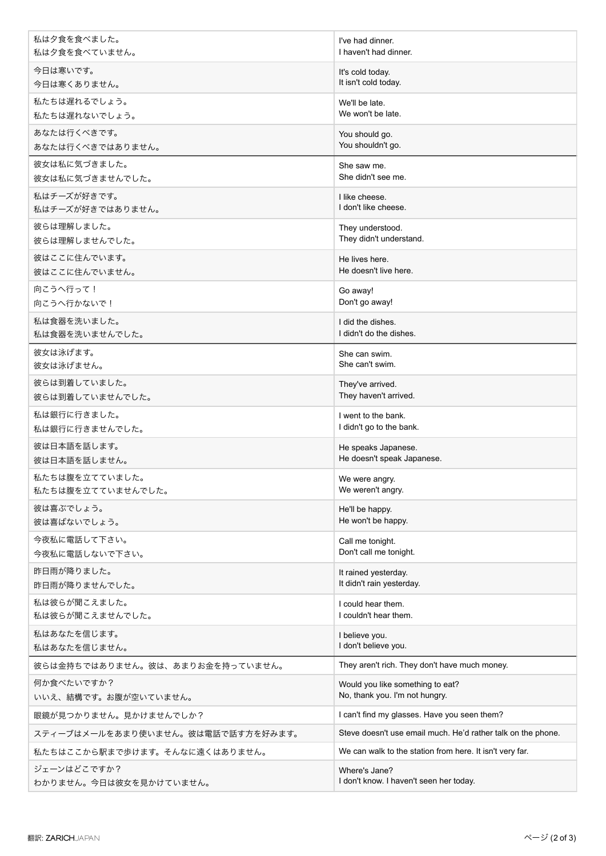| I've had dinner.                                                   |
|--------------------------------------------------------------------|
| I haven't had dinner.                                              |
| It's cold today.<br>It isn't cold today.                           |
| We'll be late.<br>We won't be late.                                |
| You should go.<br>You shouldn't go.                                |
| She saw me.<br>She didn't see me.                                  |
| I like cheese.<br>I don't like cheese.                             |
| They understood.<br>They didn't understand.                        |
| He lives here.<br>He doesn't live here.                            |
| Go away!<br>Don't go away!                                         |
| I did the dishes.<br>I didn't do the dishes.                       |
| She can swim.<br>She can't swim.                                   |
| They've arrived.<br>They haven't arrived.                          |
| I went to the bank.<br>I didn't go to the bank.                    |
| He speaks Japanese.<br>He doesn't speak Japanese.                  |
| We were angry.<br>We weren't angry.                                |
| He'll be happy.<br>He won't be happy.                              |
| Call me tonight.<br>Don't call me tonight.                         |
| It rained yesterday.<br>It didn't rain yesterday.                  |
| I could hear them.<br>I couldn't hear them.                        |
| I believe you.<br>I don't believe you.                             |
| They aren't rich. They don't have much money.                      |
| Would you like something to eat?<br>No, thank you. I'm not hungry. |
| I can't find my glasses. Have you seen them?                       |
| Steve doesn't use email much. He'd rather talk on the phone.       |
| We can walk to the station from here. It isn't very far.           |
| Where's Jane?<br>I don't know. I haven't seen her today.           |
|                                                                    |